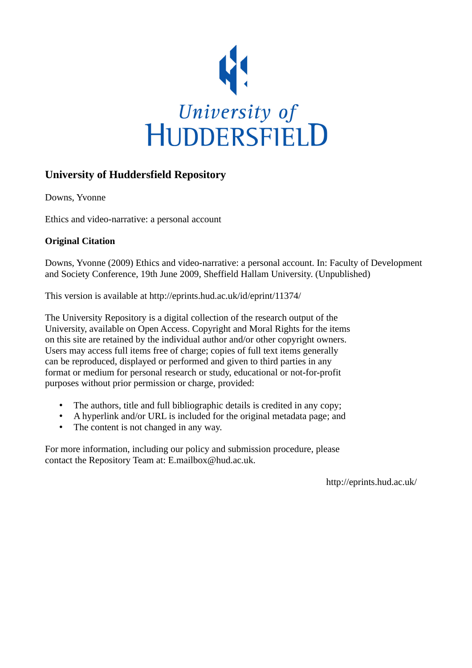

# **University of Huddersfield Repository**

Downs, Yvonne

Ethics and video-narrative: a personal account

## **Original Citation**

Downs, Yvonne (2009) Ethics and video-narrative: a personal account. In: Faculty of Development and Society Conference, 19th June 2009, Sheffield Hallam University. (Unpublished)

This version is available at http://eprints.hud.ac.uk/id/eprint/11374/

The University Repository is a digital collection of the research output of the University, available on Open Access. Copyright and Moral Rights for the items on this site are retained by the individual author and/or other copyright owners. Users may access full items free of charge; copies of full text items generally can be reproduced, displayed or performed and given to third parties in any format or medium for personal research or study, educational or not-for-profit purposes without prior permission or charge, provided:

- The authors, title and full bibliographic details is credited in any copy;
- A hyperlink and/or URL is included for the original metadata page; and
- The content is not changed in any way.

For more information, including our policy and submission procedure, please contact the Repository Team at: E.mailbox@hud.ac.uk.

http://eprints.hud.ac.uk/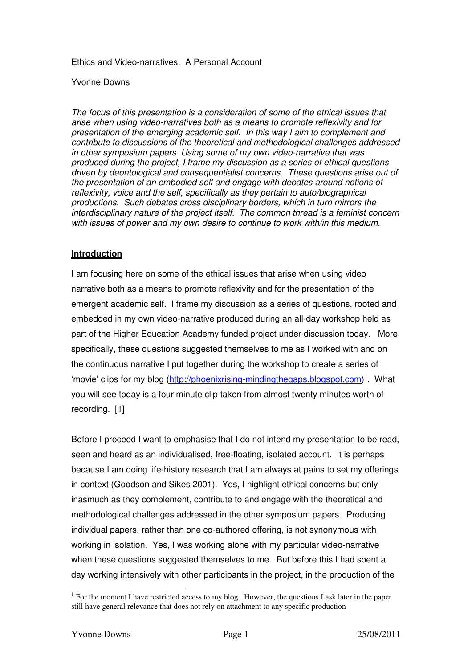Ethics and Video-narratives. A Personal Account

#### Yvonne Downs

The focus of this presentation is a consideration of some of the ethical issues that arise when using video-narratives both as a means to promote reflexivity and for presentation of the emerging academic self. In this way I aim to complement and contribute to discussions of the theoretical and methodological challenges addressed in other symposium papers. Using some of my own video-narrative that was produced during the project, I frame my discussion as a series of ethical questions driven by deontological and consequentialist concerns. These questions arise out of the presentation of an embodied self and engage with debates around notions of reflexivity, voice and the self, specifically as they pertain to auto/biographical productions. Such debates cross disciplinary borders, which in turn mirrors the interdisciplinary nature of the project itself. The common thread is a feminist concern with issues of power and my own desire to continue to work with/in this medium.

### **Introduction**

I am focusing here on some of the ethical issues that arise when using video narrative both as a means to promote reflexivity and for the presentation of the emergent academic self. I frame my discussion as a series of questions, rooted and embedded in my own video-narrative produced during an all-day workshop held as part of the Higher Education Academy funded project under discussion today. More specifically, these questions suggested themselves to me as I worked with and on the continuous narrative I put together during the workshop to create a series of 'movie' clips for my blog (http://phoenixrising-mindingthegaps.blogspot.com)<sup>1</sup>. What you will see today is a four minute clip taken from almost twenty minutes worth of recording. [1]

Before I proceed I want to emphasise that I do not intend my presentation to be read, seen and heard as an individualised, free-floating, isolated account. It is perhaps because I am doing life-history research that I am always at pains to set my offerings in context (Goodson and Sikes 2001). Yes, I highlight ethical concerns but only inasmuch as they complement, contribute to and engage with the theoretical and methodological challenges addressed in the other symposium papers. Producing individual papers, rather than one co-authored offering, is not synonymous with working in isolation. Yes, I was working alone with my particular video-narrative when these questions suggested themselves to me. But before this I had spent a day working intensively with other participants in the project, in the production of the

 $\overline{a}$ 

<sup>&</sup>lt;sup>1</sup> For the moment I have restricted access to my blog. However, the questions I ask later in the paper still have general relevance that does not rely on attachment to any specific production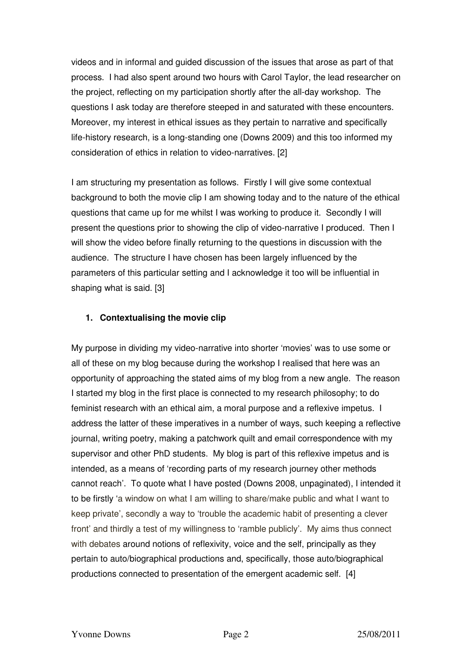videos and in informal and guided discussion of the issues that arose as part of that process. I had also spent around two hours with Carol Taylor, the lead researcher on the project, reflecting on my participation shortly after the all-day workshop. The questions I ask today are therefore steeped in and saturated with these encounters. Moreover, my interest in ethical issues as they pertain to narrative and specifically life-history research, is a long-standing one (Downs 2009) and this too informed my consideration of ethics in relation to video-narratives. [2]

I am structuring my presentation as follows. Firstly I will give some contextual background to both the movie clip I am showing today and to the nature of the ethical questions that came up for me whilst I was working to produce it. Secondly I will present the questions prior to showing the clip of video-narrative I produced. Then I will show the video before finally returning to the questions in discussion with the audience. The structure I have chosen has been largely influenced by the parameters of this particular setting and I acknowledge it too will be influential in shaping what is said. [3]

### **1. Contextualising the movie clip**

My purpose in dividing my video-narrative into shorter 'movies' was to use some or all of these on my blog because during the workshop I realised that here was an opportunity of approaching the stated aims of my blog from a new angle. The reason I started my blog in the first place is connected to my research philosophy; to do feminist research with an ethical aim, a moral purpose and a reflexive impetus. I address the latter of these imperatives in a number of ways, such keeping a reflective journal, writing poetry, making a patchwork quilt and email correspondence with my supervisor and other PhD students. My blog is part of this reflexive impetus and is intended, as a means of 'recording parts of my research journey other methods cannot reach'. To quote what I have posted (Downs 2008, unpaginated), I intended it to be firstly 'a window on what I am willing to share/make public and what I want to keep private', secondly a way to 'trouble the academic habit of presenting a clever front' and thirdly a test of my willingness to 'ramble publicly'. My aims thus connect with debates around notions of reflexivity, voice and the self, principally as they pertain to auto/biographical productions and, specifically, those auto/biographical productions connected to presentation of the emergent academic self. [4]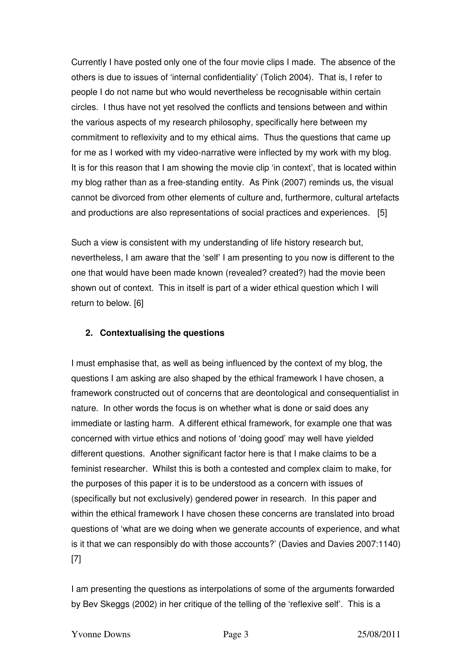Currently I have posted only one of the four movie clips I made. The absence of the others is due to issues of 'internal confidentiality' (Tolich 2004). That is, I refer to people I do not name but who would nevertheless be recognisable within certain circles. I thus have not yet resolved the conflicts and tensions between and within the various aspects of my research philosophy, specifically here between my commitment to reflexivity and to my ethical aims. Thus the questions that came up for me as I worked with my video-narrative were inflected by my work with my blog. It is for this reason that I am showing the movie clip 'in context', that is located within my blog rather than as a free-standing entity. As Pink (2007) reminds us, the visual cannot be divorced from other elements of culture and, furthermore, cultural artefacts and productions are also representations of social practices and experiences. [5]

Such a view is consistent with my understanding of life history research but, nevertheless, I am aware that the 'self' I am presenting to you now is different to the one that would have been made known (revealed? created?) had the movie been shown out of context. This in itself is part of a wider ethical question which I will return to below. [6]

### **2. Contextualising the questions**

I must emphasise that, as well as being influenced by the context of my blog, the questions I am asking are also shaped by the ethical framework I have chosen, a framework constructed out of concerns that are deontological and consequentialist in nature. In other words the focus is on whether what is done or said does any immediate or lasting harm. A different ethical framework, for example one that was concerned with virtue ethics and notions of 'doing good' may well have yielded different questions. Another significant factor here is that I make claims to be a feminist researcher. Whilst this is both a contested and complex claim to make, for the purposes of this paper it is to be understood as a concern with issues of (specifically but not exclusively) gendered power in research. In this paper and within the ethical framework I have chosen these concerns are translated into broad questions of 'what are we doing when we generate accounts of experience, and what is it that we can responsibly do with those accounts?' (Davies and Davies 2007:1140) [7]

I am presenting the questions as interpolations of some of the arguments forwarded by Bev Skeggs (2002) in her critique of the telling of the 'reflexive self'. This is a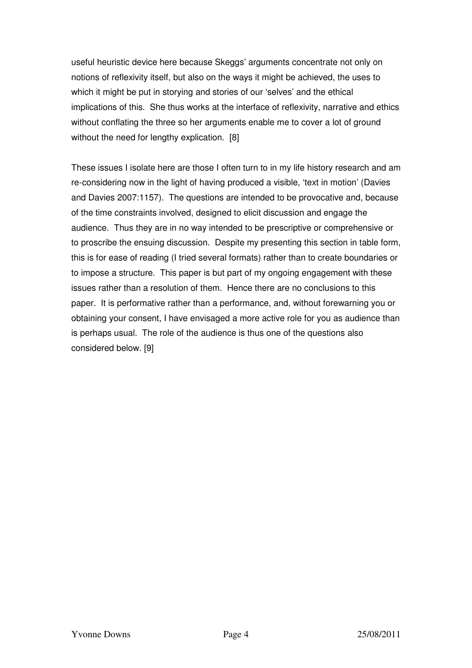useful heuristic device here because Skeggs' arguments concentrate not only on notions of reflexivity itself, but also on the ways it might be achieved, the uses to which it might be put in storying and stories of our 'selves' and the ethical implications of this. She thus works at the interface of reflexivity, narrative and ethics without conflating the three so her arguments enable me to cover a lot of ground without the need for lengthy explication. [8]

These issues I isolate here are those I often turn to in my life history research and am re-considering now in the light of having produced a visible, 'text in motion' (Davies and Davies 2007:1157). The questions are intended to be provocative and, because of the time constraints involved, designed to elicit discussion and engage the audience. Thus they are in no way intended to be prescriptive or comprehensive or to proscribe the ensuing discussion. Despite my presenting this section in table form, this is for ease of reading (I tried several formats) rather than to create boundaries or to impose a structure. This paper is but part of my ongoing engagement with these issues rather than a resolution of them. Hence there are no conclusions to this paper. It is performative rather than a performance, and, without forewarning you or obtaining your consent, I have envisaged a more active role for you as audience than is perhaps usual. The role of the audience is thus one of the questions also considered below. [9]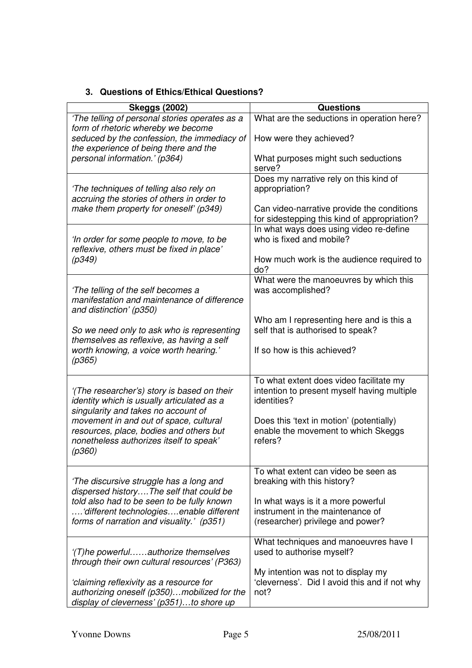# **3. Questions of Ethics/Ethical Questions?**

| <b>Skeggs (2002)</b>                                                                                                                                                                                                                                                       | <b>Questions</b>                                                                                                    |
|----------------------------------------------------------------------------------------------------------------------------------------------------------------------------------------------------------------------------------------------------------------------------|---------------------------------------------------------------------------------------------------------------------|
| 'The telling of personal stories operates as a                                                                                                                                                                                                                             | What are the seductions in operation here?                                                                          |
| form of rhetoric whereby we become<br>seduced by the confession, the immediacy of<br>the experience of being there and the                                                                                                                                                 | How were they achieved?                                                                                             |
| personal information.' (p364)                                                                                                                                                                                                                                              | What purposes might such seductions<br>serve?                                                                       |
| 'The techniques of telling also rely on<br>accruing the stories of others in order to<br>make them property for oneself' (p349)                                                                                                                                            | Does my narrative rely on this kind of<br>appropriation?<br>Can video-narrative provide the conditions              |
| 'In order for some people to move, to be<br>reflexive, others must be fixed in place'<br>(p349)                                                                                                                                                                            | for sidestepping this kind of appropriation?<br>In what ways does using video re-define<br>who is fixed and mobile? |
|                                                                                                                                                                                                                                                                            | How much work is the audience required to<br>do?                                                                    |
| 'The telling of the self becomes a<br>manifestation and maintenance of difference<br>and distinction' (p350)                                                                                                                                                               | What were the manoeuvres by which this<br>was accomplished?                                                         |
| So we need only to ask who is representing<br>themselves as reflexive, as having a self<br>worth knowing, a voice worth hearing.'<br>(p365)                                                                                                                                | Who am I representing here and is this a<br>self that is authorised to speak?                                       |
|                                                                                                                                                                                                                                                                            | If so how is this achieved?                                                                                         |
| '(The researcher's) story is based on their<br>identity which is usually articulated as a<br>singularity and takes no account of<br>movement in and out of space, cultural<br>resources, place, bodies and others but<br>nonetheless authorizes itself to speak'<br>(p360) | To what extent does video facilitate my<br>intention to present myself having multiple<br>identities?               |
|                                                                                                                                                                                                                                                                            | Does this 'text in motion' (potentially)<br>enable the movement to which Skeggs<br>refers?                          |
| 'The discursive struggle has a long and<br>dispersed historyThe self that could be<br>told also had to be seen to be fully known<br>different technologiesenable different<br>forms of narration and visuality.' (p351)                                                    | To what extent can video be seen as<br>breaking with this history?                                                  |
|                                                                                                                                                                                                                                                                            | In what ways is it a more powerful<br>instrument in the maintenance of<br>(researcher) privilege and power?         |
| '(T)he powerfulauthorize themselves<br>through their own cultural resources' (P363)                                                                                                                                                                                        | What techniques and manoeuvres have I<br>used to authorise myself?                                                  |
| 'claiming reflexivity as a resource for<br>authorizing oneself (p350)mobilized for the<br>display of cleverness' (p351)to shore up                                                                                                                                         | My intention was not to display my<br>'cleverness'. Did I avoid this and if not why<br>not?                         |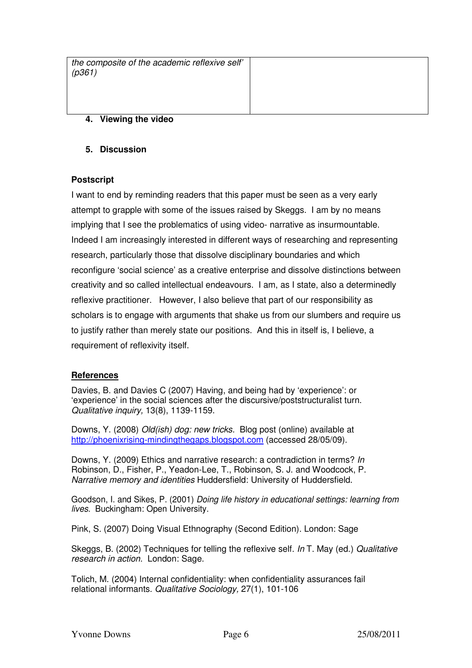| the composite of the academic reflexive self'<br>(p361) |  |
|---------------------------------------------------------|--|
|                                                         |  |

# **4. Viewing the video**

### **5. Discussion**

### **Postscript**

I want to end by reminding readers that this paper must be seen as a very early attempt to grapple with some of the issues raised by Skeggs. I am by no means implying that I see the problematics of using video- narrative as insurmountable. Indeed I am increasingly interested in different ways of researching and representing research, particularly those that dissolve disciplinary boundaries and which reconfigure 'social science' as a creative enterprise and dissolve distinctions between creativity and so called intellectual endeavours. I am, as I state, also a determinedly reflexive practitioner. However, I also believe that part of our responsibility as scholars is to engage with arguments that shake us from our slumbers and require us to justify rather than merely state our positions. And this in itself is, I believe, a requirement of reflexivity itself.

### **References**

Davies, B. and Davies C (2007) Having, and being had by 'experience': or 'experience' in the social sciences after the discursive/poststructuralist turn. Qualitative inquiry, 13(8), 1139-1159.

Downs, Y. (2008) Old(ish) dog: new tricks. Blog post (online) available at http://phoenixrising-mindingthegaps.blogspot.com (accessed 28/05/09).

Downs, Y. (2009) Ethics and narrative research: a contradiction in terms? In Robinson, D., Fisher, P., Yeadon-Lee, T., Robinson, S. J. and Woodcock, P. Narrative memory and identities Huddersfield: University of Huddersfield.

Goodson, I. and Sikes, P. (2001) Doing life history in educational settings: learning from lives. Buckingham: Open University.

Pink, S. (2007) Doing Visual Ethnography (Second Edition). London: Sage

Skeggs, B. (2002) Techniques for telling the reflexive self. In T. May (ed.) Qualitative research in action. London: Sage.

Tolich, M. (2004) Internal confidentiality: when confidentiality assurances fail relational informants. Qualitative Sociology, 27(1), 101-106